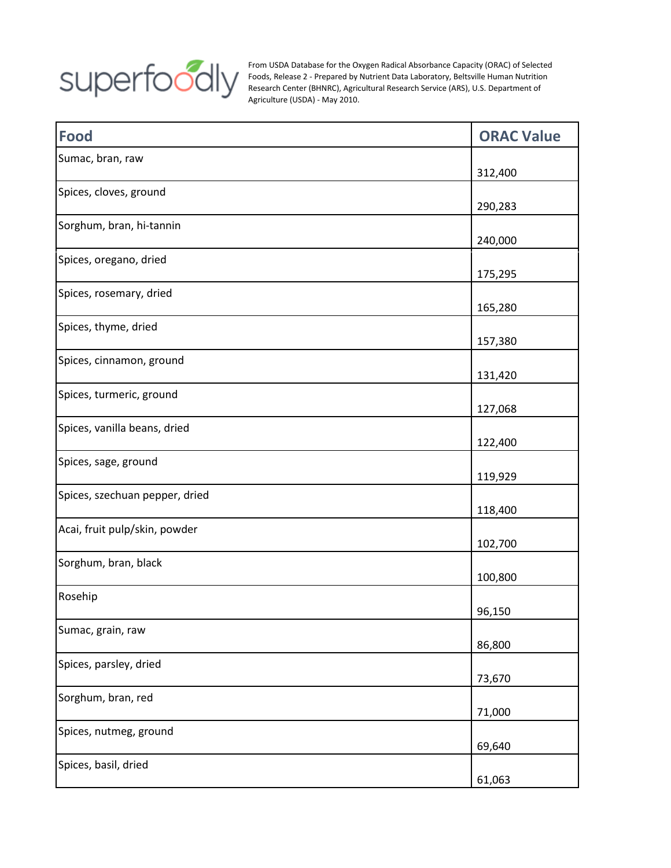

From USDA Database for the Oxygen Radical Absorbance Capacity (ORAC) of Selected Foods, Release 2 - Prepared by Nutrient Data Laboratory, Beltsville Human Nutrition Research Center (BHNRC), Agricultural Research Service (ARS), U.S. Department of Agriculture (USDA) - May 2010.

| <b>Food</b>                    | <b>ORAC Value</b> |
|--------------------------------|-------------------|
| Sumac, bran, raw               | 312,400           |
| Spices, cloves, ground         | 290,283           |
| Sorghum, bran, hi-tannin       | 240,000           |
| Spices, oregano, dried         | 175,295           |
| Spices, rosemary, dried        | 165,280           |
| Spices, thyme, dried           | 157,380           |
| Spices, cinnamon, ground       | 131,420           |
| Spices, turmeric, ground       | 127,068           |
| Spices, vanilla beans, dried   | 122,400           |
| Spices, sage, ground           | 119,929           |
| Spices, szechuan pepper, dried | 118,400           |
| Acai, fruit pulp/skin, powder  | 102,700           |
| Sorghum, bran, black           | 100,800           |
| Rosehip                        | 96,150            |
| Sumac, grain, raw              | 86,800            |
| Spices, parsley, dried         | 73,670            |
| Sorghum, bran, red             | 71,000            |
| Spices, nutmeg, ground         | 69,640            |
| Spices, basil, dried           | 61,063            |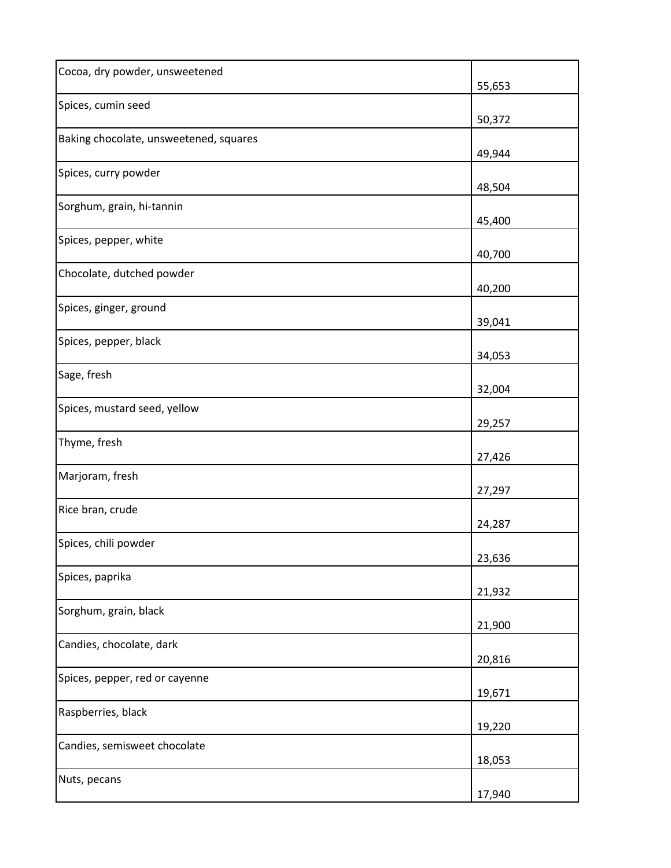| Cocoa, dry powder, unsweetened         | 55,653 |
|----------------------------------------|--------|
| Spices, cumin seed                     | 50,372 |
| Baking chocolate, unsweetened, squares | 49,944 |
| Spices, curry powder                   | 48,504 |
| Sorghum, grain, hi-tannin              | 45,400 |
| Spices, pepper, white                  | 40,700 |
| Chocolate, dutched powder              | 40,200 |
| Spices, ginger, ground                 | 39,041 |
| Spices, pepper, black                  | 34,053 |
| Sage, fresh                            | 32,004 |
| Spices, mustard seed, yellow           | 29,257 |
| Thyme, fresh                           | 27,426 |
| Marjoram, fresh                        | 27,297 |
| Rice bran, crude                       | 24,287 |
| Spices, chili powder                   | 23,636 |
| Spices, paprika                        | 21,932 |
| Sorghum, grain, black                  | 21,900 |
| Candies, chocolate, dark               | 20,816 |
| Spices, pepper, red or cayenne         | 19,671 |
| Raspberries, black                     | 19,220 |
| Candies, semisweet chocolate           | 18,053 |
| Nuts, pecans                           | 17,940 |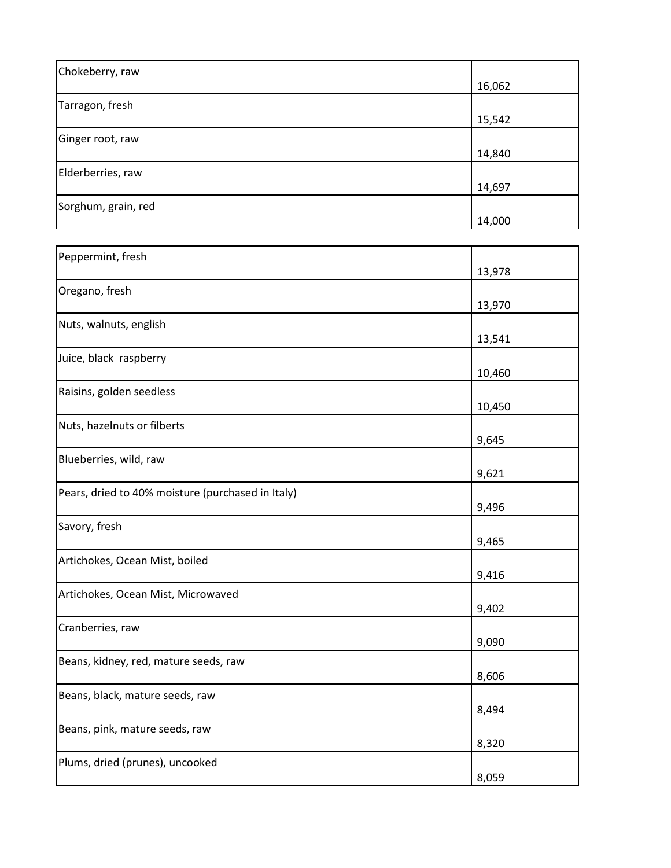| Chokeberry, raw     |        |
|---------------------|--------|
|                     | 16,062 |
| Tarragon, fresh     |        |
|                     | 15,542 |
| Ginger root, raw    |        |
|                     | 14,840 |
| Elderberries, raw   |        |
|                     | 14,697 |
| Sorghum, grain, red |        |
|                     | 14,000 |

| Peppermint, fresh                                 | 13,978 |
|---------------------------------------------------|--------|
| Oregano, fresh                                    | 13,970 |
| Nuts, walnuts, english                            | 13,541 |
| Juice, black raspberry                            | 10,460 |
| Raisins, golden seedless                          | 10,450 |
| Nuts, hazelnuts or filberts                       | 9,645  |
| Blueberries, wild, raw                            | 9,621  |
| Pears, dried to 40% moisture (purchased in Italy) | 9,496  |
| Savory, fresh                                     | 9,465  |
| Artichokes, Ocean Mist, boiled                    | 9,416  |
| Artichokes, Ocean Mist, Microwaved                | 9,402  |
| Cranberries, raw                                  | 9,090  |
| Beans, kidney, red, mature seeds, raw             | 8,606  |
| Beans, black, mature seeds, raw                   | 8,494  |
| Beans, pink, mature seeds, raw                    | 8,320  |
| Plums, dried (prunes), uncooked                   | 8,059  |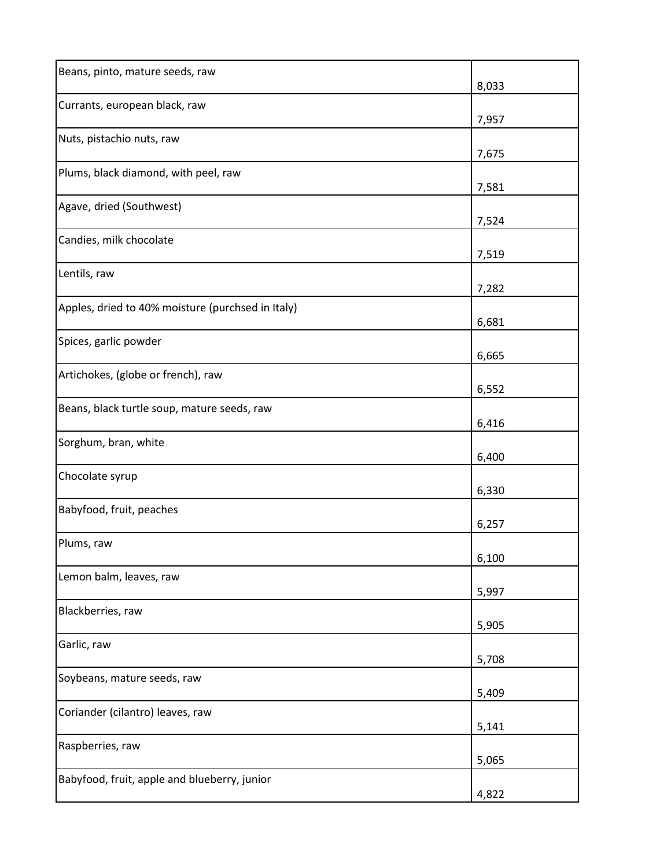| Beans, pinto, mature seeds, raw                   | 8,033 |
|---------------------------------------------------|-------|
| Currants, european black, raw                     | 7,957 |
| Nuts, pistachio nuts, raw                         | 7,675 |
| Plums, black diamond, with peel, raw              | 7,581 |
| Agave, dried (Southwest)                          | 7,524 |
| Candies, milk chocolate                           | 7,519 |
| Lentils, raw                                      | 7,282 |
| Apples, dried to 40% moisture (purchsed in Italy) | 6,681 |
| Spices, garlic powder                             | 6,665 |
| Artichokes, (globe or french), raw                | 6,552 |
| Beans, black turtle soup, mature seeds, raw       | 6,416 |
| Sorghum, bran, white                              | 6,400 |
| Chocolate syrup                                   | 6,330 |
| Babyfood, fruit, peaches                          | 6,257 |
| Plums, raw                                        | 6,100 |
| Lemon balm, leaves, raw                           | 5,997 |
| Blackberries, raw                                 | 5,905 |
| Garlic, raw                                       | 5,708 |
| Soybeans, mature seeds, raw                       | 5,409 |
| Coriander (cilantro) leaves, raw                  | 5,141 |
| Raspberries, raw                                  | 5,065 |
| Babyfood, fruit, apple and blueberry, junior      | 4,822 |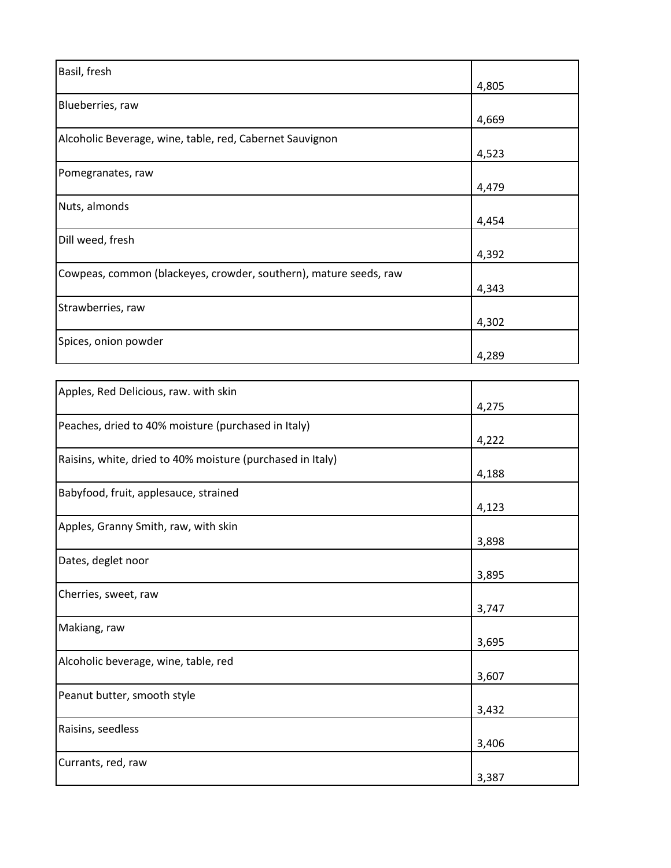| Basil, fresh                                                      |       |
|-------------------------------------------------------------------|-------|
|                                                                   | 4,805 |
| Blueberries, raw                                                  |       |
|                                                                   | 4,669 |
| Alcoholic Beverage, wine, table, red, Cabernet Sauvignon          |       |
|                                                                   | 4,523 |
| Pomegranates, raw                                                 |       |
|                                                                   | 4,479 |
| Nuts, almonds                                                     |       |
|                                                                   | 4,454 |
| Dill weed, fresh                                                  |       |
|                                                                   | 4,392 |
| Cowpeas, common (blackeyes, crowder, southern), mature seeds, raw |       |
|                                                                   | 4,343 |
| Strawberries, raw                                                 |       |
|                                                                   | 4,302 |
| Spices, onion powder                                              |       |
|                                                                   | 4,289 |

| Apples, Red Delicious, raw. with skin                      |       |
|------------------------------------------------------------|-------|
|                                                            | 4,275 |
| Peaches, dried to 40% moisture (purchased in Italy)        |       |
|                                                            | 4,222 |
| Raisins, white, dried to 40% moisture (purchased in Italy) |       |
|                                                            | 4,188 |
| Babyfood, fruit, applesauce, strained                      |       |
|                                                            | 4,123 |
| Apples, Granny Smith, raw, with skin                       |       |
|                                                            | 3,898 |
| Dates, deglet noor                                         |       |
|                                                            | 3,895 |
| Cherries, sweet, raw                                       |       |
|                                                            | 3,747 |
| Makiang, raw                                               |       |
|                                                            | 3,695 |
| Alcoholic beverage, wine, table, red                       |       |
|                                                            | 3,607 |
| Peanut butter, smooth style                                |       |
|                                                            | 3,432 |
| Raisins, seedless                                          |       |
|                                                            | 3,406 |
| Currants, red, raw                                         |       |
|                                                            | 3,387 |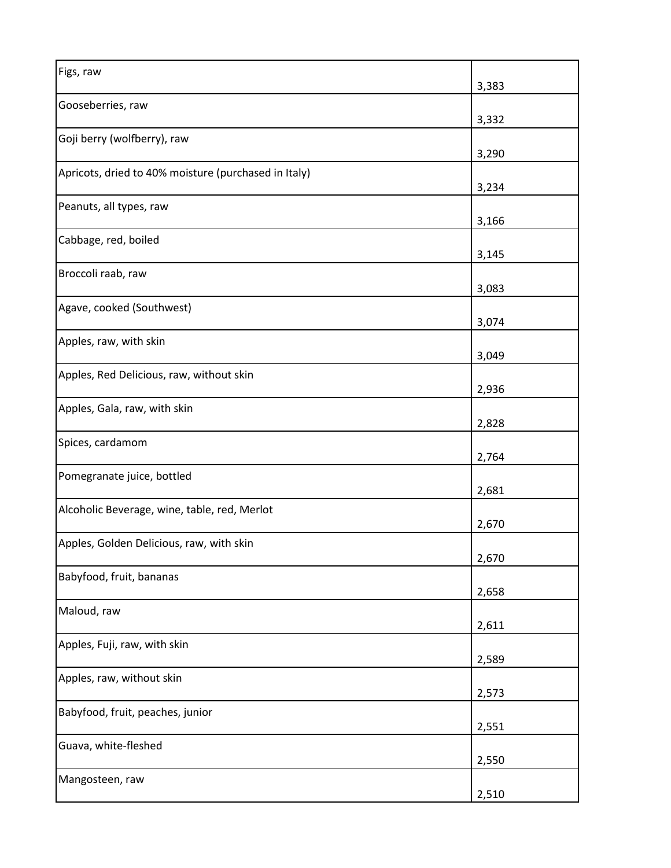| Figs, raw                                            | 3,383 |
|------------------------------------------------------|-------|
| Gooseberries, raw                                    | 3,332 |
| Goji berry (wolfberry), raw                          | 3,290 |
| Apricots, dried to 40% moisture (purchased in Italy) | 3,234 |
| Peanuts, all types, raw                              | 3,166 |
| Cabbage, red, boiled                                 | 3,145 |
| Broccoli raab, raw                                   | 3,083 |
| Agave, cooked (Southwest)                            | 3,074 |
| Apples, raw, with skin                               | 3,049 |
| Apples, Red Delicious, raw, without skin             | 2,936 |
| Apples, Gala, raw, with skin                         | 2,828 |
| Spices, cardamom                                     | 2,764 |
| Pomegranate juice, bottled                           | 2,681 |
| Alcoholic Beverage, wine, table, red, Merlot         | 2,670 |
| Apples, Golden Delicious, raw, with skin             | 2,670 |
| Babyfood, fruit, bananas                             | 2,658 |
| Maloud, raw                                          | 2,611 |
| Apples, Fuji, raw, with skin                         | 2,589 |
| Apples, raw, without skin                            | 2,573 |
| Babyfood, fruit, peaches, junior                     | 2,551 |
| Guava, white-fleshed                                 | 2,550 |
| Mangosteen, raw                                      | 2,510 |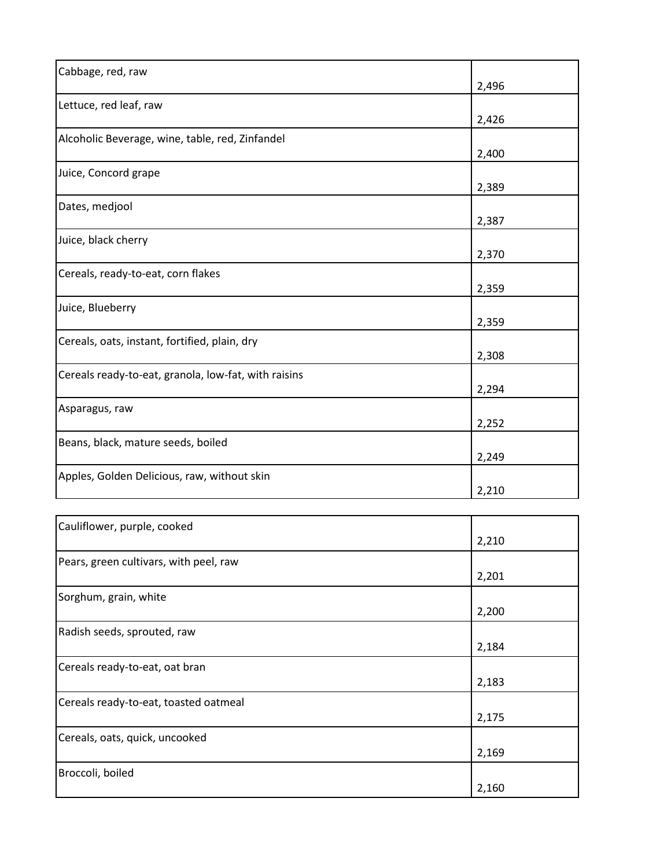| Cabbage, red, raw                                    | 2,496 |
|------------------------------------------------------|-------|
| Lettuce, red leaf, raw                               | 2,426 |
| Alcoholic Beverage, wine, table, red, Zinfandel      | 2,400 |
| Juice, Concord grape                                 | 2,389 |
| Dates, medjool                                       | 2,387 |
| Juice, black cherry                                  | 2,370 |
| Cereals, ready-to-eat, corn flakes                   | 2,359 |
| Juice, Blueberry                                     | 2,359 |
| Cereals, oats, instant, fortified, plain, dry        | 2,308 |
| Cereals ready-to-eat, granola, low-fat, with raisins | 2,294 |
| Asparagus, raw                                       | 2,252 |
| Beans, black, mature seeds, boiled                   | 2,249 |
| Apples, Golden Delicious, raw, without skin          | 2,210 |
|                                                      |       |
| Cauliflower, purple, cooked                          | 2,210 |
| Pears, green cultivars, with peel, raw               | 2,201 |
| Sorghum, grain, white                                | 2,200 |
| Radish seeds, sprouted, raw                          | 2,184 |
| Cereals ready-to-eat, oat bran                       | 2,183 |
| Cereals ready-to-eat, toasted oatmeal                | 2,175 |
| Cereals, oats, quick, uncooked                       | 2,169 |
| Broccoli, boiled                                     | 2,160 |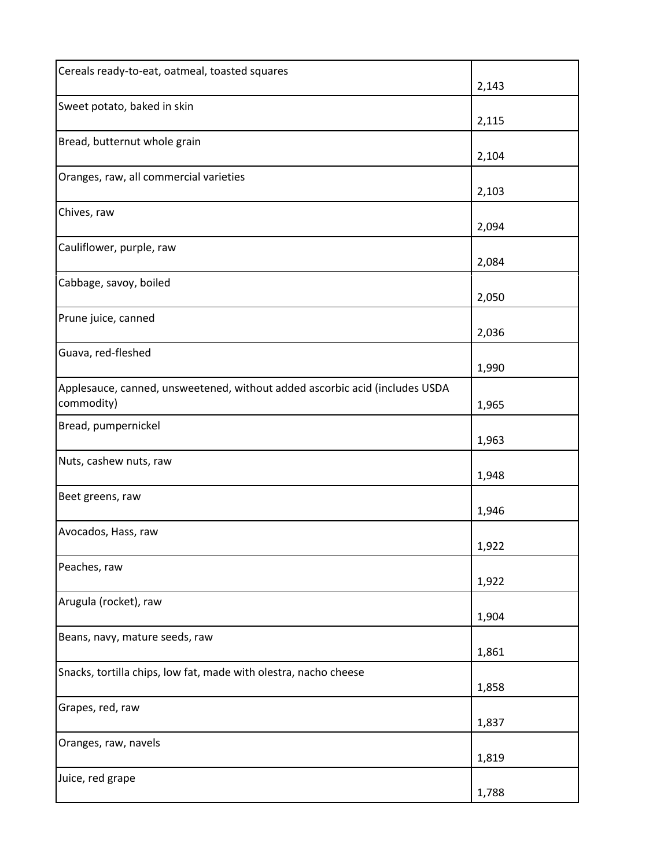| Cereals ready-to-eat, oatmeal, toasted squares                                            | 2,143 |
|-------------------------------------------------------------------------------------------|-------|
| Sweet potato, baked in skin                                                               | 2,115 |
| Bread, butternut whole grain                                                              | 2,104 |
| Oranges, raw, all commercial varieties                                                    | 2,103 |
| Chives, raw                                                                               | 2,094 |
| Cauliflower, purple, raw                                                                  | 2,084 |
| Cabbage, savoy, boiled                                                                    | 2,050 |
| Prune juice, canned                                                                       | 2,036 |
| Guava, red-fleshed                                                                        | 1,990 |
| Applesauce, canned, unsweetened, without added ascorbic acid (includes USDA<br>commodity) | 1,965 |
| Bread, pumpernickel                                                                       | 1,963 |
| Nuts, cashew nuts, raw                                                                    | 1,948 |
| Beet greens, raw                                                                          | 1,946 |
| Avocados, Hass, raw                                                                       | 1,922 |
| Peaches, raw                                                                              | 1,922 |
| Arugula (rocket), raw                                                                     | 1,904 |
| Beans, navy, mature seeds, raw                                                            | 1,861 |
| Snacks, tortilla chips, low fat, made with olestra, nacho cheese                          | 1,858 |
| Grapes, red, raw                                                                          | 1,837 |
| Oranges, raw, navels                                                                      | 1,819 |
| Juice, red grape                                                                          | 1,788 |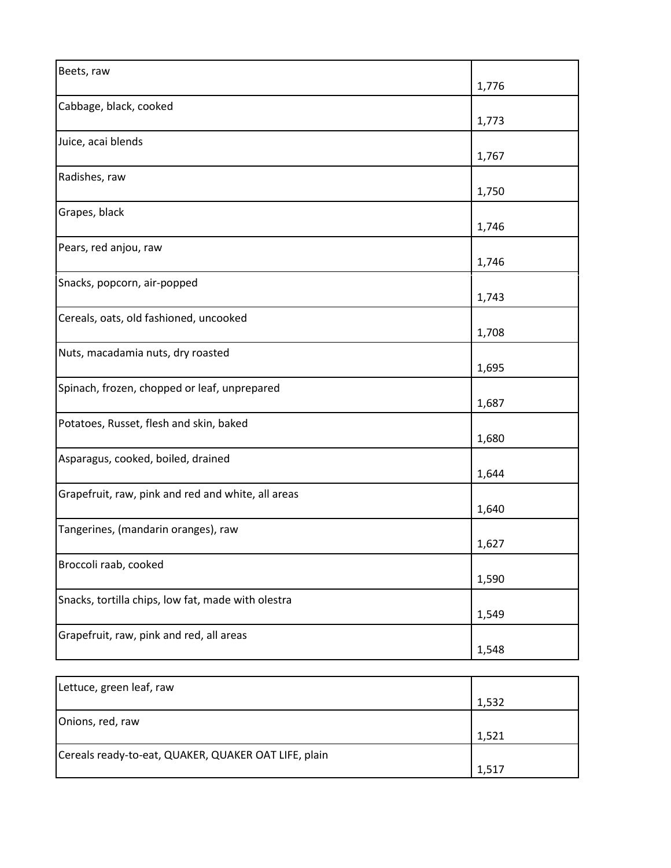| Beets, raw                                         | 1,776 |
|----------------------------------------------------|-------|
| Cabbage, black, cooked                             | 1,773 |
| Juice, acai blends                                 | 1,767 |
| Radishes, raw                                      | 1,750 |
| Grapes, black                                      | 1,746 |
| Pears, red anjou, raw                              | 1,746 |
| Snacks, popcorn, air-popped                        | 1,743 |
| Cereals, oats, old fashioned, uncooked             | 1,708 |
| Nuts, macadamia nuts, dry roasted                  | 1,695 |
| Spinach, frozen, chopped or leaf, unprepared       | 1,687 |
| Potatoes, Russet, flesh and skin, baked            | 1,680 |
| Asparagus, cooked, boiled, drained                 | 1,644 |
| Grapefruit, raw, pink and red and white, all areas | 1,640 |
| Tangerines, (mandarin oranges), raw                | 1,627 |
| Broccoli raab, cooked                              | 1,590 |
| Snacks, tortilla chips, low fat, made with olestra | 1,549 |
| Grapefruit, raw, pink and red, all areas           | 1,548 |

| Lettuce, green leaf, raw                             |       |
|------------------------------------------------------|-------|
|                                                      | 1,532 |
| Onions, red, raw                                     |       |
|                                                      | 1,521 |
| Cereals ready-to-eat, QUAKER, QUAKER OAT LIFE, plain |       |
|                                                      | 1.517 |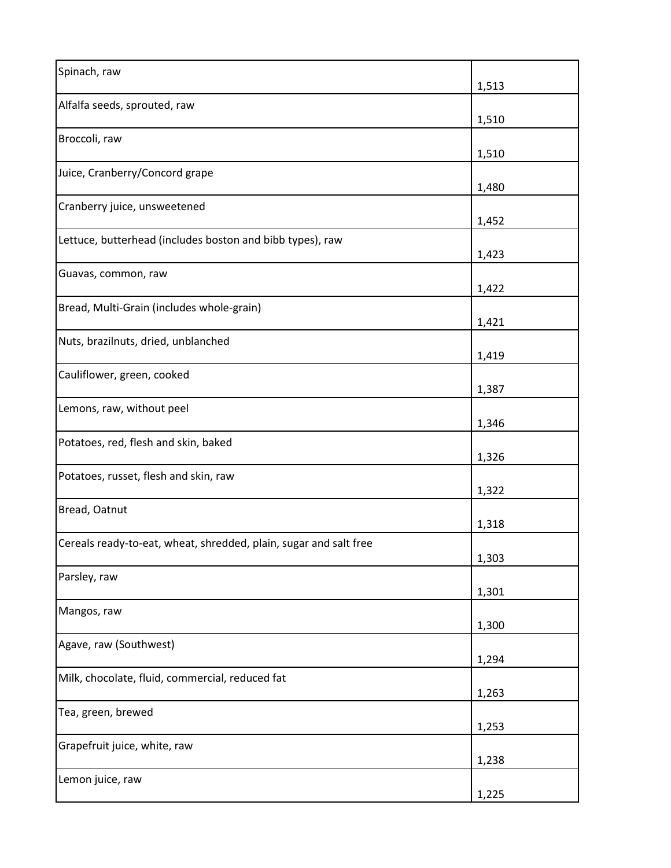| Spinach, raw                                                      | 1,513 |
|-------------------------------------------------------------------|-------|
| Alfalfa seeds, sprouted, raw                                      | 1,510 |
| Broccoli, raw                                                     | 1,510 |
| Juice, Cranberry/Concord grape                                    | 1,480 |
| Cranberry juice, unsweetened                                      | 1,452 |
| Lettuce, butterhead (includes boston and bibb types), raw         | 1,423 |
| Guavas, common, raw                                               | 1,422 |
| Bread, Multi-Grain (includes whole-grain)                         | 1,421 |
| Nuts, brazilnuts, dried, unblanched                               | 1,419 |
| Cauliflower, green, cooked                                        | 1,387 |
| Lemons, raw, without peel                                         | 1,346 |
| Potatoes, red, flesh and skin, baked                              | 1,326 |
| Potatoes, russet, flesh and skin, raw                             | 1,322 |
| Bread, Oatnut                                                     | 1,318 |
| Cereals ready-to-eat, wheat, shredded, plain, sugar and salt free | 1,303 |
| Parsley, raw                                                      | 1,301 |
| Mangos, raw                                                       | 1,300 |
| Agave, raw (Southwest)                                            | 1,294 |
| Milk, chocolate, fluid, commercial, reduced fat                   | 1,263 |
| Tea, green, brewed                                                | 1,253 |
| Grapefruit juice, white, raw                                      | 1,238 |
| Lemon juice, raw                                                  | 1,225 |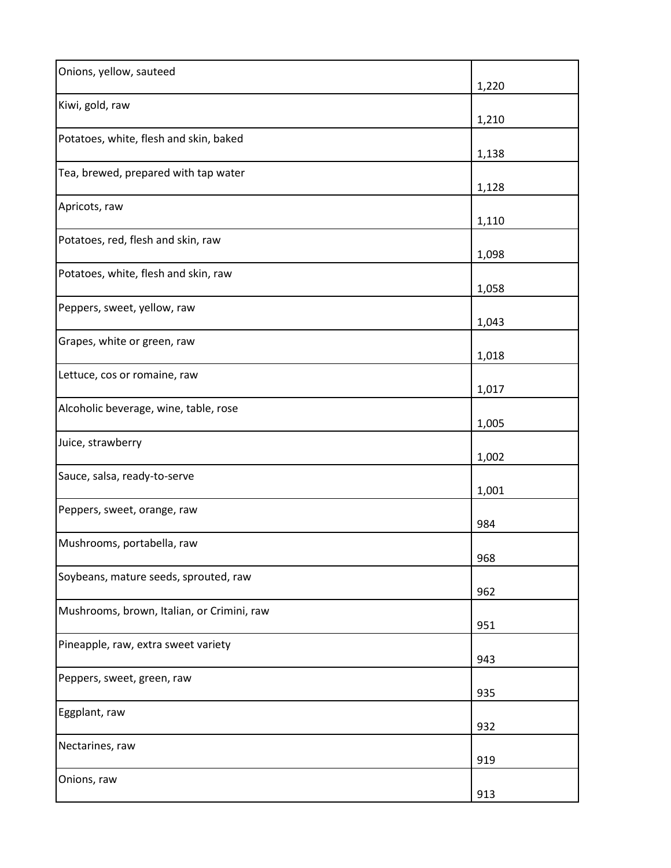| Onions, yellow, sauteed                    | 1,220 |
|--------------------------------------------|-------|
| Kiwi, gold, raw                            | 1,210 |
| Potatoes, white, flesh and skin, baked     | 1,138 |
| Tea, brewed, prepared with tap water       | 1,128 |
| Apricots, raw                              | 1,110 |
| Potatoes, red, flesh and skin, raw         | 1,098 |
| Potatoes, white, flesh and skin, raw       | 1,058 |
| Peppers, sweet, yellow, raw                | 1,043 |
| Grapes, white or green, raw                | 1,018 |
| Lettuce, cos or romaine, raw               | 1,017 |
| Alcoholic beverage, wine, table, rose      | 1,005 |
| Juice, strawberry                          | 1,002 |
| Sauce, salsa, ready-to-serve               | 1,001 |
| Peppers, sweet, orange, raw                | 984   |
| Mushrooms, portabella, raw                 | 968   |
| Soybeans, mature seeds, sprouted, raw      | 962   |
| Mushrooms, brown, Italian, or Crimini, raw | 951   |
| Pineapple, raw, extra sweet variety        | 943   |
| Peppers, sweet, green, raw                 | 935   |
| Eggplant, raw                              | 932   |
| Nectarines, raw                            | 919   |
| Onions, raw                                | 913   |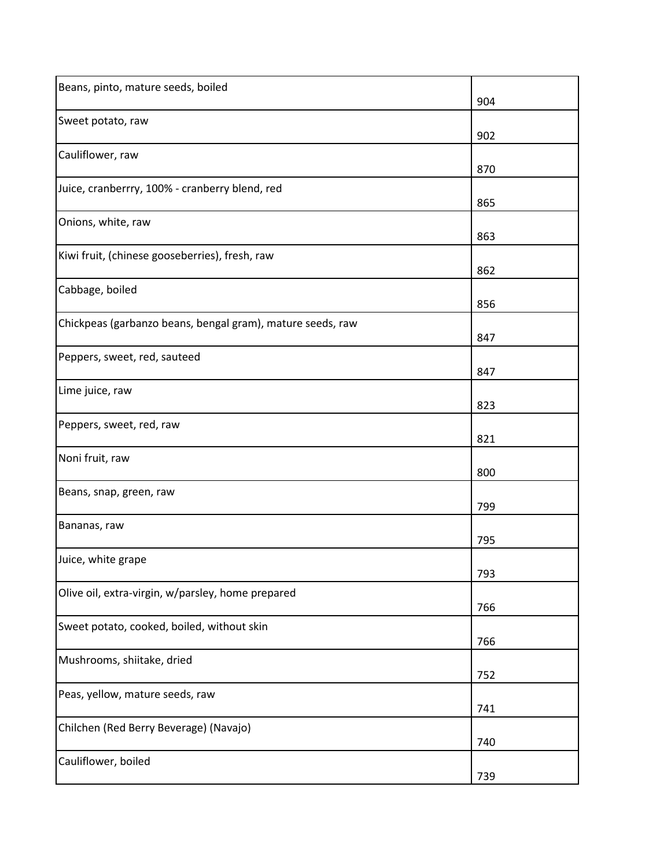| Beans, pinto, mature seeds, boiled                         | 904 |
|------------------------------------------------------------|-----|
| Sweet potato, raw                                          | 902 |
| Cauliflower, raw                                           | 870 |
| Juice, cranberrry, 100% - cranberry blend, red             | 865 |
| Onions, white, raw                                         | 863 |
| Kiwi fruit, (chinese gooseberries), fresh, raw             | 862 |
| Cabbage, boiled                                            | 856 |
| Chickpeas (garbanzo beans, bengal gram), mature seeds, raw | 847 |
| Peppers, sweet, red, sauteed                               | 847 |
| Lime juice, raw                                            | 823 |
| Peppers, sweet, red, raw                                   | 821 |
| Noni fruit, raw                                            | 800 |
| Beans, snap, green, raw                                    | 799 |
| Bananas, raw                                               | 795 |
| Juice, white grape                                         | 793 |
| Olive oil, extra-virgin, w/parsley, home prepared          | 766 |
| Sweet potato, cooked, boiled, without skin                 | 766 |
| Mushrooms, shiitake, dried                                 | 752 |
| Peas, yellow, mature seeds, raw                            | 741 |
| Chilchen (Red Berry Beverage) (Navajo)                     | 740 |
| Cauliflower, boiled                                        | 739 |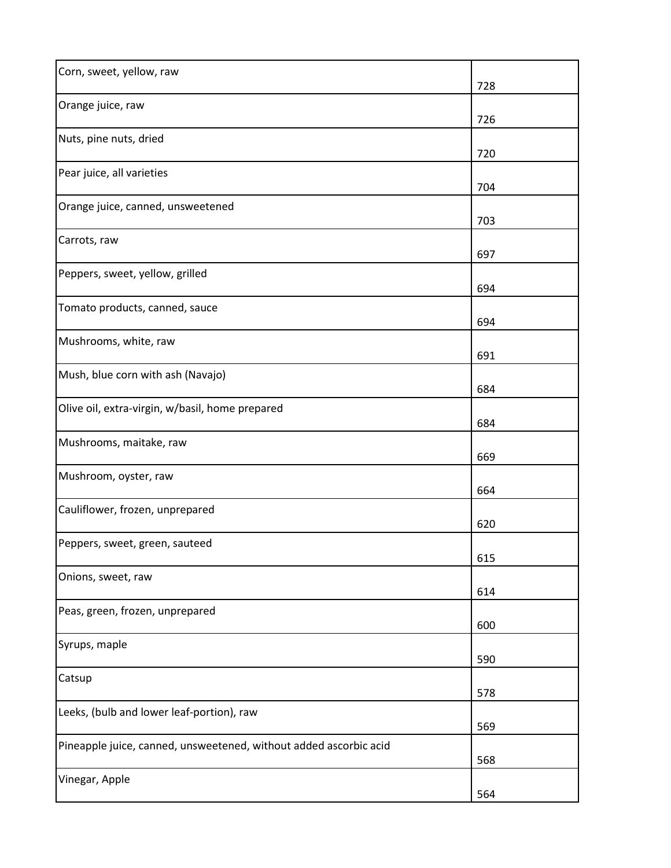| Corn, sweet, yellow, raw                                          | 728 |
|-------------------------------------------------------------------|-----|
| Orange juice, raw                                                 | 726 |
| Nuts, pine nuts, dried                                            | 720 |
| Pear juice, all varieties                                         | 704 |
| Orange juice, canned, unsweetened                                 | 703 |
| Carrots, raw                                                      | 697 |
| Peppers, sweet, yellow, grilled                                   | 694 |
| Tomato products, canned, sauce                                    | 694 |
| Mushrooms, white, raw                                             | 691 |
| Mush, blue corn with ash (Navajo)                                 | 684 |
| Olive oil, extra-virgin, w/basil, home prepared                   | 684 |
| Mushrooms, maitake, raw                                           | 669 |
| Mushroom, oyster, raw                                             | 664 |
| Cauliflower, frozen, unprepared                                   | 620 |
| Peppers, sweet, green, sauteed                                    | 615 |
| Onions, sweet, raw                                                | 614 |
| Peas, green, frozen, unprepared                                   | 600 |
| Syrups, maple                                                     | 590 |
| Catsup                                                            | 578 |
| Leeks, (bulb and lower leaf-portion), raw                         | 569 |
| Pineapple juice, canned, unsweetened, without added ascorbic acid | 568 |
| Vinegar, Apple                                                    | 564 |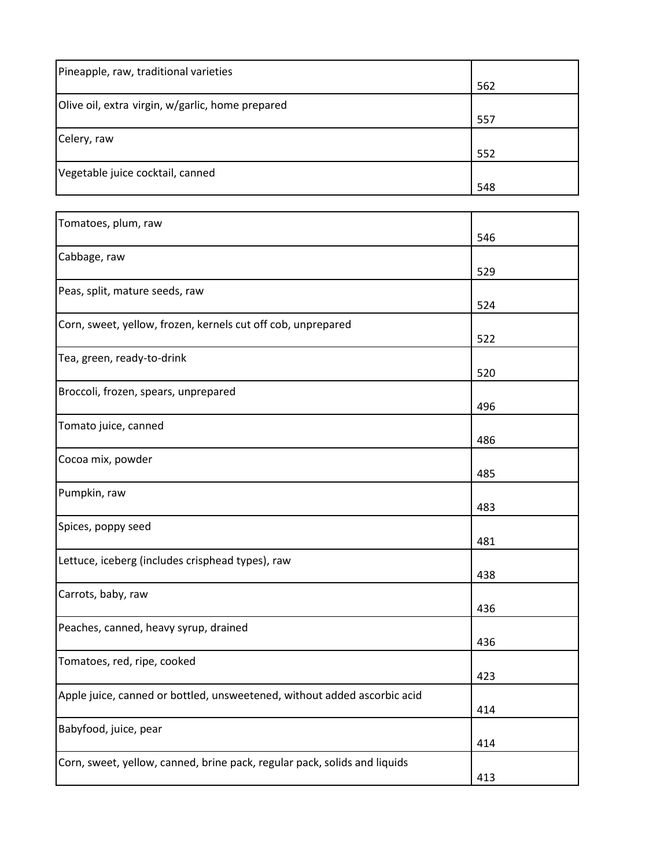| Pineapple, raw, traditional varieties            |     |
|--------------------------------------------------|-----|
|                                                  | 562 |
| Olive oil, extra virgin, w/garlic, home prepared |     |
|                                                  | 557 |
| Celery, raw                                      |     |
|                                                  | 552 |
| Vegetable juice cocktail, canned                 |     |
|                                                  | 548 |

| Tomatoes, plum, raw                                                       |     |
|---------------------------------------------------------------------------|-----|
|                                                                           | 546 |
| Cabbage, raw                                                              |     |
|                                                                           | 529 |
| Peas, split, mature seeds, raw                                            |     |
|                                                                           | 524 |
| Corn, sweet, yellow, frozen, kernels cut off cob, unprepared              |     |
|                                                                           | 522 |
| Tea, green, ready-to-drink                                                |     |
|                                                                           | 520 |
| Broccoli, frozen, spears, unprepared                                      |     |
|                                                                           | 496 |
| Tomato juice, canned                                                      |     |
|                                                                           | 486 |
| Cocoa mix, powder                                                         |     |
|                                                                           | 485 |
| Pumpkin, raw                                                              |     |
|                                                                           | 483 |
| Spices, poppy seed                                                        |     |
|                                                                           | 481 |
| Lettuce, iceberg (includes crisphead types), raw                          |     |
|                                                                           | 438 |
| Carrots, baby, raw                                                        |     |
|                                                                           | 436 |
| Peaches, canned, heavy syrup, drained                                     |     |
|                                                                           | 436 |
| Tomatoes, red, ripe, cooked                                               |     |
|                                                                           | 423 |
| Apple juice, canned or bottled, unsweetened, without added ascorbic acid  |     |
|                                                                           | 414 |
| Babyfood, juice, pear                                                     |     |
|                                                                           | 414 |
| Corn, sweet, yellow, canned, brine pack, regular pack, solids and liquids |     |
|                                                                           | 413 |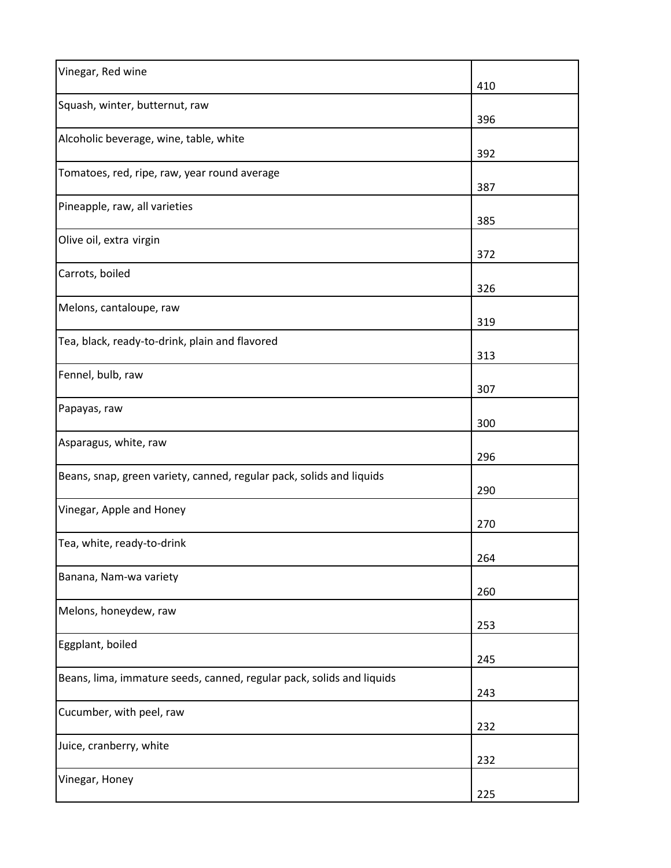| Vinegar, Red wine                                                     | 410 |
|-----------------------------------------------------------------------|-----|
| Squash, winter, butternut, raw                                        | 396 |
| Alcoholic beverage, wine, table, white                                | 392 |
| Tomatoes, red, ripe, raw, year round average                          | 387 |
| Pineapple, raw, all varieties                                         | 385 |
| Olive oil, extra virgin                                               | 372 |
| Carrots, boiled                                                       | 326 |
| Melons, cantaloupe, raw                                               | 319 |
| Tea, black, ready-to-drink, plain and flavored                        | 313 |
| Fennel, bulb, raw                                                     | 307 |
| Papayas, raw                                                          | 300 |
| Asparagus, white, raw                                                 | 296 |
| Beans, snap, green variety, canned, regular pack, solids and liquids  | 290 |
| Vinegar, Apple and Honey                                              | 270 |
| Tea, white, ready-to-drink                                            | 264 |
| Banana, Nam-wa variety                                                | 260 |
| Melons, honeydew, raw                                                 | 253 |
| Eggplant, boiled                                                      | 245 |
| Beans, lima, immature seeds, canned, regular pack, solids and liquids | 243 |
| Cucumber, with peel, raw                                              | 232 |
| Juice, cranberry, white                                               | 232 |
| Vinegar, Honey                                                        | 225 |